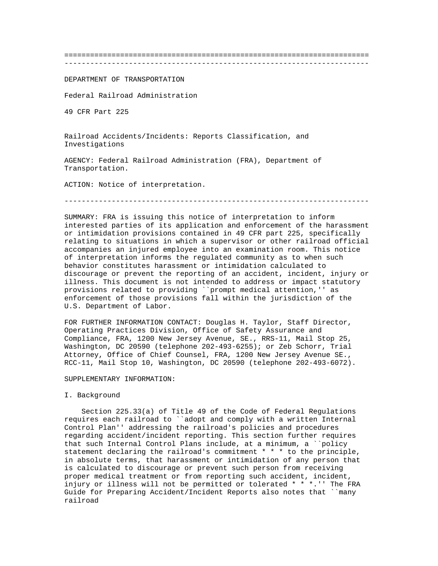=======================================================================

-----------------------------------------------------------------------

DEPARTMENT OF TRANSPORTATION

Federal Railroad Administration

49 CFR Part 225

Railroad Accidents/Incidents: Reports Classification, and Investigations

AGENCY: Federal Railroad Administration (FRA), Department of Transportation.

ACTION: Notice of interpretation.

-----------------------------------------------------------------------

SUMMARY: FRA is issuing this notice of interpretation to inform interested parties of its application and enforcement of the harassment or intimidation provisions contained in 49 CFR part 225, specifically relating to situations in which a supervisor or other railroad official accompanies an injured employee into an examination room. This notice of interpretation informs the regulated community as to when such behavior constitutes harassment or intimidation calculated to discourage or prevent the reporting of an accident, incident, injury or illness. This document is not intended to address or impact statutory provisions related to providing ``prompt medical attention,'' as enforcement of those provisions fall within the jurisdiction of the U.S. Department of Labor.

FOR FURTHER INFORMATION CONTACT: Douglas H. Taylor, Staff Director, Operating Practices Division, Office of Safety Assurance and Compliance, FRA, 1200 New Jersey Avenue, SE., RRS-11, Mail Stop 25, Washington, DC 20590 (telephone 202-493-6255); or Zeb Schorr, Trial Attorney, Office of Chief Counsel, FRA, 1200 New Jersey Avenue SE., RCC-11, Mail Stop 10, Washington, DC 20590 (telephone 202-493-6072).

# SUPPLEMENTARY INFORMATION:

#### I. Background

 Section 225.33(a) of Title 49 of the Code of Federal Regulations requires each railroad to ``adopt and comply with a written Internal Control Plan'' addressing the railroad's policies and procedures regarding accident/incident reporting. This section further requires that such Internal Control Plans include, at a minimum, a ``policy statement declaring the railroad's commitment \* \* \* to the principle, in absolute terms, that harassment or intimidation of any person that is calculated to discourage or prevent such person from receiving proper medical treatment or from reporting such accident, incident, injury or illness will not be permitted or tolerated \* \* \*.'' The FRA Guide for Preparing Accident/Incident Reports also notes that ``many railroad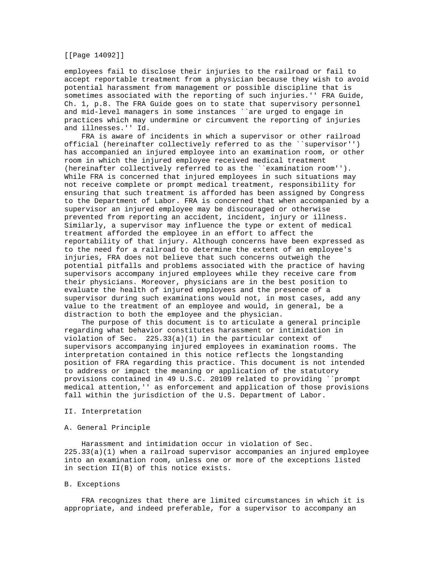[[Page 14092]]

employees fail to disclose their injuries to the railroad or fail to accept reportable treatment from a physician because they wish to avoid potential harassment from management or possible discipline that is sometimes associated with the reporting of such injuries.'' FRA Guide, Ch. 1, p.8. The FRA Guide goes on to state that supervisory personnel and mid-level managers in some instances ``are urged to engage in practices which may undermine or circumvent the reporting of injuries and illnesses.'' Id.

 FRA is aware of incidents in which a supervisor or other railroad official (hereinafter collectively referred to as the ``supervisor'') has accompanied an injured employee into an examination room, or other room in which the injured employee received medical treatment (hereinafter collectively referred to as the ``examination room''). While FRA is concerned that injured employees in such situations may not receive complete or prompt medical treatment, responsibility for ensuring that such treatment is afforded has been assigned by Congress to the Department of Labor. FRA is concerned that when accompanied by a supervisor an injured employee may be discouraged or otherwise prevented from reporting an accident, incident, injury or illness. Similarly, a supervisor may influence the type or extent of medical treatment afforded the employee in an effort to affect the reportability of that injury. Although concerns have been expressed as to the need for a railroad to determine the extent of an employee's injuries, FRA does not believe that such concerns outweigh the potential pitfalls and problems associated with the practice of having supervisors accompany injured employees while they receive care from their physicians. Moreover, physicians are in the best position to evaluate the health of injured employees and the presence of a supervisor during such examinations would not, in most cases, add any value to the treatment of an employee and would, in general, be a distraction to both the employee and the physician.

 The purpose of this document is to articulate a general principle regarding what behavior constitutes harassment or intimidation in violation of Sec. 225.33(a)(1) in the particular context of supervisors accompanying injured employees in examination rooms. The interpretation contained in this notice reflects the longstanding position of FRA regarding this practice. This document is not intended to address or impact the meaning or application of the statutory provisions contained in 49 U.S.C. 20109 related to providing ``prompt medical attention,'' as enforcement and application of those provisions fall within the jurisdiction of the U.S. Department of Labor.

# II. Interpretation

## A. General Principle

 Harassment and intimidation occur in violation of Sec. 225.33(a)(1) when a railroad supervisor accompanies an injured employee into an examination room, unless one or more of the exceptions listed in section II(B) of this notice exists.

# B. Exceptions

 FRA recognizes that there are limited circumstances in which it is appropriate, and indeed preferable, for a supervisor to accompany an